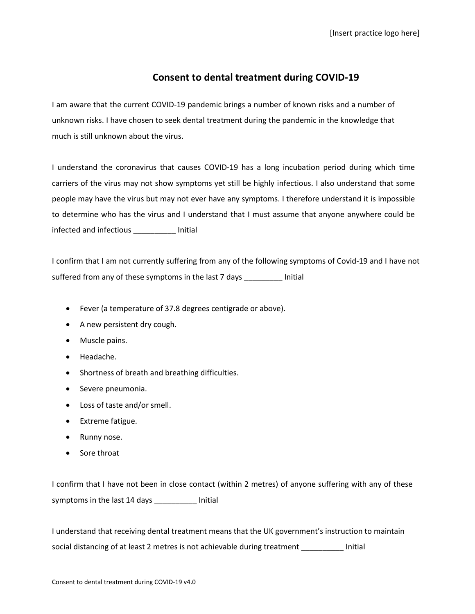## **Consent to dental treatment during COVID-19**

I am aware that the current COVID-19 pandemic brings a number of known risks and a number of unknown risks. I have chosen to seek dental treatment during the pandemic in the knowledge that much is still unknown about the virus.

I understand the coronavirus that causes COVID-19 has a long incubation period during which time carriers of the virus may not show symptoms yet still be highly infectious. I also understand that some people may have the virus but may not ever have any symptoms. I therefore understand it is impossible to determine who has the virus and I understand that I must assume that anyone anywhere could be infected and infectious \_\_\_\_\_\_\_\_\_\_ Initial

I confirm that I am not currently suffering from any of the following symptoms of Covid-19 and I have not suffered from any of these symptoms in the last 7 days \_\_\_\_\_\_\_\_\_ Initial

- Fever (a temperature of 37.8 degrees centigrade or above).
- A new persistent dry cough.
- Muscle pains.
- Headache.
- Shortness of breath and breathing difficulties.
- Severe pneumonia.
- Loss of taste and/or smell.
- Extreme fatigue.
- Runny nose.
- Sore throat

I confirm that I have not been in close contact (within 2 metres) of anyone suffering with any of these symptoms in the last 14 days \_\_\_\_\_\_\_\_\_\_ Initial

I understand that receiving dental treatment means that the UK government's instruction to maintain social distancing of at least 2 metres is not achievable during treatment \_\_\_\_\_\_\_\_\_\_ Initial